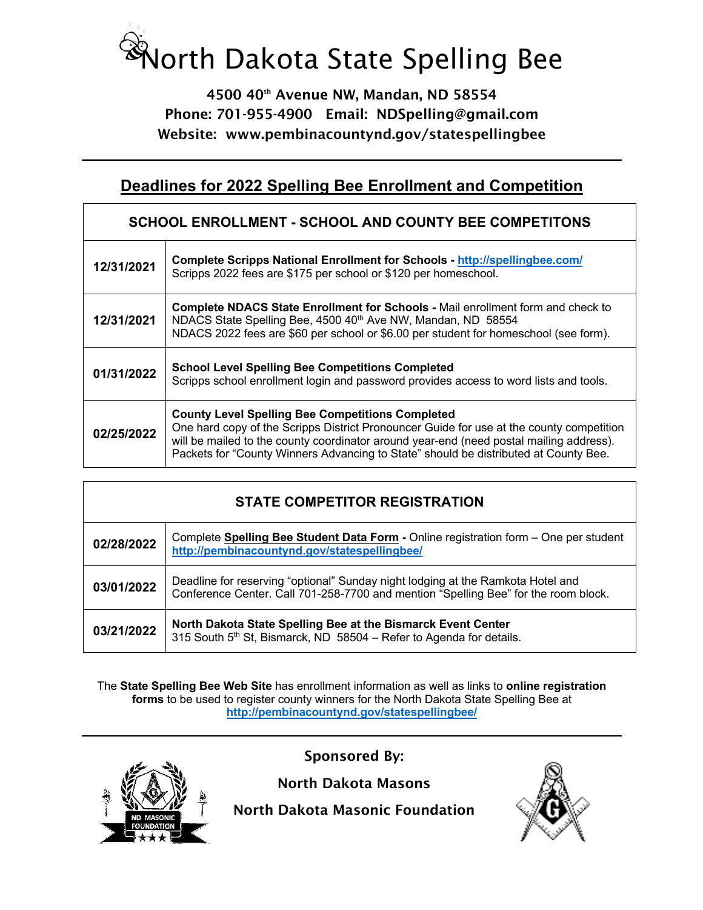## North Dakota State Spelling Bee

4500 40th Avenue NW, Mandan, ND 58554 Phone: 701-955-4900 Email: NDSpelling@gmail.com Website: www.pembinacountynd.gov/statespellingbee

## **Deadlines for 2022 Spelling Bee Enrollment and Competition**

| <b>SCHOOL ENROLLMENT - SCHOOL AND COUNTY BEE COMPETITONS</b> |                                                                                                                                                                                                                                                                                                                                        |
|--------------------------------------------------------------|----------------------------------------------------------------------------------------------------------------------------------------------------------------------------------------------------------------------------------------------------------------------------------------------------------------------------------------|
| 12/31/2021                                                   | <b>Complete Scripps National Enrollment for Schools - http://spellingbee.com/</b><br>Scripps 2022 fees are \$175 per school or \$120 per homeschool.                                                                                                                                                                                   |
| 12/31/2021                                                   | Complete NDACS State Enrollment for Schools - Mail enrollment form and check to<br>NDACS State Spelling Bee, 4500 40 <sup>th</sup> Ave NW, Mandan, ND 58554<br>NDACS 2022 fees are \$60 per school or \$6.00 per student for homeschool (see form).                                                                                    |
| 01/31/2022                                                   | <b>School Level Spelling Bee Competitions Completed</b><br>Scripps school enrollment login and password provides access to word lists and tools.                                                                                                                                                                                       |
| 02/25/2022                                                   | <b>County Level Spelling Bee Competitions Completed</b><br>One hard copy of the Scripps District Pronouncer Guide for use at the county competition<br>will be mailed to the county coordinator around year-end (need postal mailing address).<br>Packets for "County Winners Advancing to State" should be distributed at County Bee. |

| <b>STATE COMPETITOR REGISTRATION</b> |                                                                                                                                                                        |
|--------------------------------------|------------------------------------------------------------------------------------------------------------------------------------------------------------------------|
| 02/28/2022                           | Complete Spelling Bee Student Data Form - Online registration form - One per student<br>http://pembinacountynd.gov/statespellingbee/                                   |
| 03/01/2022                           | Deadline for reserving "optional" Sunday night lodging at the Ramkota Hotel and<br>Conference Center. Call 701-258-7700 and mention "Spelling Bee" for the room block. |
| 03/21/2022                           | North Dakota State Spelling Bee at the Bismarck Event Center<br>315 South 5 <sup>th</sup> St, Bismarck, ND 58504 - Refer to Agenda for details.                        |

The **State Spelling Bee Web Site** has enrollment information as well as links to **online registration forms** to be used to register county winners for the North Dakota State Spelling Bee at **http://pembinacountynd.gov/statespellingbee/**



Sponsored By:

North Dakota Masons

North Dakota Masonic Foundation